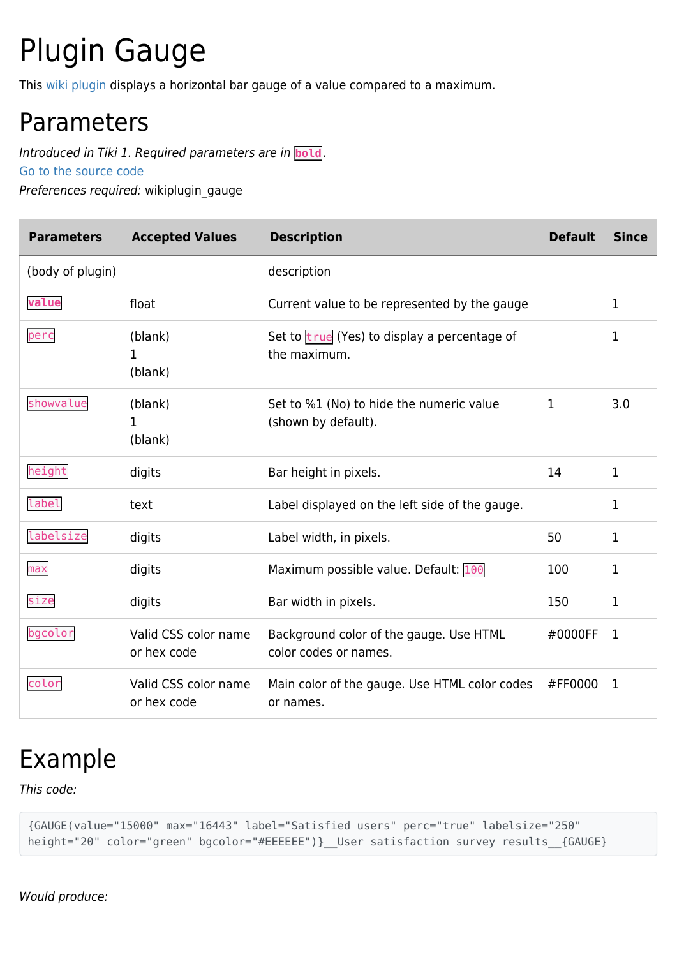## Plugin Gauge

This [wiki plugin](https://doc.tiki.org/wiki%20plugin) displays a horizontal bar gauge of a value compared to a maximum.

## Parameters

Introduced in Tiki 1. Required parameters are in **bold**.

[Go to the source code](https://gitlab.com/tikiwiki/tiki/-/blob/master/lib/wiki-plugins/wikiplugin_gauge.php)

Preferences required: wikiplugin\_gauge

| <b>Parameters</b> | <b>Accepted Values</b>              | <b>Description</b>                                               | <b>Default</b> | <b>Since</b> |
|-------------------|-------------------------------------|------------------------------------------------------------------|----------------|--------------|
| (body of plugin)  |                                     | description                                                      |                |              |
| value             | float                               | Current value to be represented by the gauge                     |                | 1            |
| perc              | (blank)<br>1<br>(blank)             | Set to true (Yes) to display a percentage of<br>the maximum.     |                | 1            |
| showvalue         | (blank)<br>1<br>(blank)             | Set to %1 (No) to hide the numeric value<br>(shown by default).  | 1              | 3.0          |
| height            | digits                              | Bar height in pixels.                                            | 14             | $\mathbf{1}$ |
| label             | text                                | Label displayed on the left side of the gauge.                   |                | 1            |
| labelsize         | digits                              | Label width, in pixels.                                          | 50             | 1            |
| max               | digits                              | Maximum possible value. Default: 100                             | 100            | 1            |
| size              | digits                              | Bar width in pixels.                                             | 150            | 1            |
| bgcolor           | Valid CSS color name<br>or hex code | Background color of the gauge. Use HTML<br>color codes or names. | #0000FF        | 1            |
| color             | Valid CSS color name<br>or hex code | Main color of the gauge. Use HTML color codes<br>or names.       | #FF0000        | 1            |

## Example

This code:

{GAUGE(value="15000" max="16443" label="Satisfied users" perc="true" labelsize="250" height="20" color="green" bgcolor="#EEEEEE")}\_User satisfaction survey results\_\_{GAUGE}